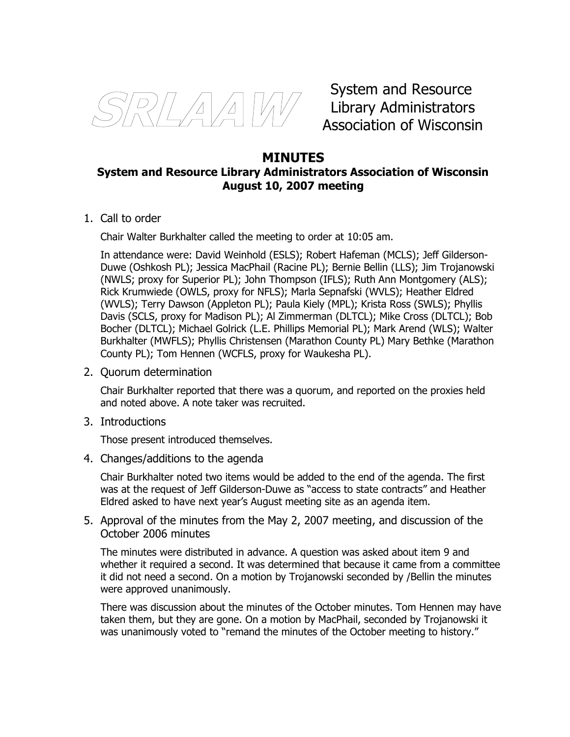

System and Resource Library Administrators Association of Wisconsin

# **MINUTES System and Resource Library Administrators Association of Wisconsin August 10, 2007 meeting**

1. Call to order

Chair Walter Burkhalter called the meeting to order at 10:05 am.

In attendance were: David Weinhold (ESLS); Robert Hafeman (MCLS); Jeff Gilderson-Duwe (Oshkosh PL); Jessica MacPhail (Racine PL); Bernie Bellin (LLS); Jim Trojanowski (NWLS; proxy for Superior PL); John Thompson (IFLS); Ruth Ann Montgomery (ALS); Rick Krumwiede (OWLS, proxy for NFLS); Marla Sepnafski (WVLS); Heather Eldred (WVLS); Terry Dawson (Appleton PL); Paula Kiely (MPL); Krista Ross (SWLS); Phyllis Davis (SCLS, proxy for Madison PL); Al Zimmerman (DLTCL); Mike Cross (DLTCL); Bob Bocher (DLTCL); Michael Golrick (L.E. Phillips Memorial PL); Mark Arend (WLS); Walter Burkhalter (MWFLS); Phyllis Christensen (Marathon County PL) Mary Bethke (Marathon County PL); Tom Hennen (WCFLS, proxy for Waukesha PL).

2. Quorum determination

Chair Burkhalter reported that there was a quorum, and reported on the proxies held and noted above. A note taker was recruited.

3. Introductions

Those present introduced themselves.

4. Changes/additions to the agenda

Chair Burkhalter noted two items would be added to the end of the agenda. The first was at the request of Jeff Gilderson-Duwe as "access to state contracts" and Heather Eldred asked to have next year's August meeting site as an agenda item.

5. Approval of the minutes from the May 2, 2007 meeting, and discussion of the October 2006 minutes

The minutes were distributed in advance. A question was asked about item 9 and whether it required a second. It was determined that because it came from a committee it did not need a second. On a motion by Trojanowski seconded by /Bellin the minutes were approved unanimously.

There was discussion about the minutes of the October minutes. Tom Hennen may have taken them, but they are gone. On a motion by MacPhail, seconded by Trojanowski it was unanimously voted to "remand the minutes of the October meeting to history."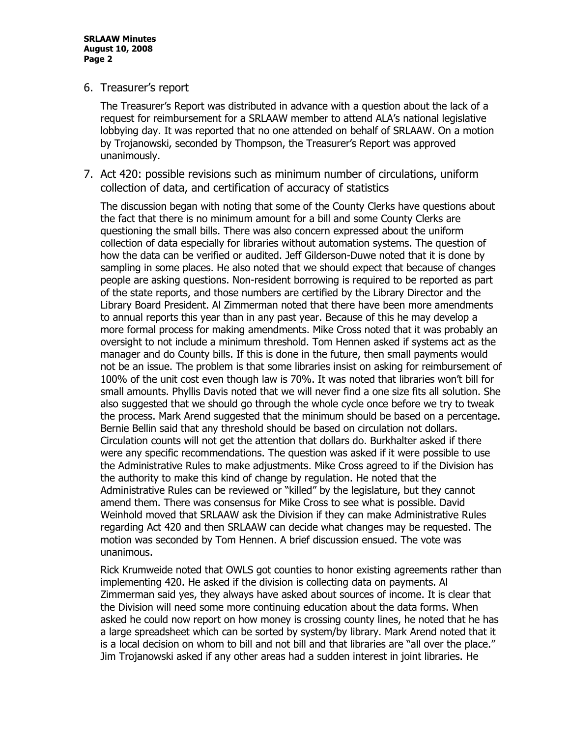**SRLAAW Minutes August 10, 2008 Page 2**

6. Treasurer's report

The Treasurer's Report was distributed in advance with a question about the lack of a request for reimbursement for a SRLAAW member to attend ALA's national legislative lobbying day. It was reported that no one attended on behalf of SRLAAW. On a motion by Trojanowski, seconded by Thompson, the Treasurer's Report was approved unanimously.

7. Act 420: possible revisions such as minimum number of circulations, uniform collection of data, and certification of accuracy of statistics

The discussion began with noting that some of the County Clerks have questions about the fact that there is no minimum amount for a bill and some County Clerks are questioning the small bills. There was also concern expressed about the uniform collection of data especially for libraries without automation systems. The question of how the data can be verified or audited. Jeff Gilderson-Duwe noted that it is done by sampling in some places. He also noted that we should expect that because of changes people are asking questions. Non-resident borrowing is required to be reported as part of the state reports, and those numbers are certified by the Library Director and the Library Board President. Al Zimmerman noted that there have been more amendments to annual reports this year than in any past year. Because of this he may develop a more formal process for making amendments. Mike Cross noted that it was probably an oversight to not include a minimum threshold. Tom Hennen asked if systems act as the manager and do County bills. If this is done in the future, then small payments would not be an issue. The problem is that some libraries insist on asking for reimbursement of 100% of the unit cost even though law is 70%. It was noted that libraries won't bill for small amounts. Phyllis Davis noted that we will never find a one size fits all solution. She also suggested that we should go through the whole cycle once before we try to tweak the process. Mark Arend suggested that the minimum should be based on a percentage. Bernie Bellin said that any threshold should be based on circulation not dollars. Circulation counts will not get the attention that dollars do. Burkhalter asked if there were any specific recommendations. The question was asked if it were possible to use the Administrative Rules to make adjustments. Mike Cross agreed to if the Division has the authority to make this kind of change by regulation. He noted that the Administrative Rules can be reviewed or "killed" by the legislature, but they cannot amend them. There was consensus for Mike Cross to see what is possible. David Weinhold moved that SRLAAW ask the Division if they can make Administrative Rules regarding Act 420 and then SRLAAW can decide what changes may be requested. The motion was seconded by Tom Hennen. A brief discussion ensued. The vote was unanimous.

Rick Krumweide noted that OWLS got counties to honor existing agreements rather than implementing 420. He asked if the division is collecting data on payments. Al Zimmerman said yes, they always have asked about sources of income. It is clear that the Division will need some more continuing education about the data forms. When asked he could now report on how money is crossing county lines, he noted that he has a large spreadsheet which can be sorted by system/by library. Mark Arend noted that it is a local decision on whom to bill and not bill and that libraries are "all over the place." Jim Trojanowski asked if any other areas had a sudden interest in joint libraries. He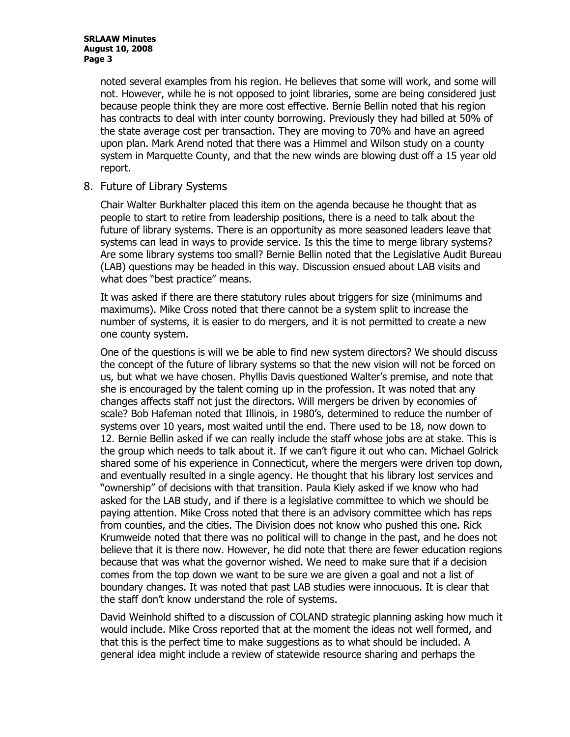noted several examples from his region. He believes that some will work, and some will not. However, while he is not opposed to joint libraries, some are being considered just because people think they are more cost effective. Bernie Bellin noted that his region has contracts to deal with inter county borrowing. Previously they had billed at 50% of the state average cost per transaction. They are moving to 70% and have an agreed upon plan. Mark Arend noted that there was a Himmel and Wilson study on a county system in Marquette County, and that the new winds are blowing dust off a 15 year old report.

8. Future of Library Systems

Chair Walter Burkhalter placed this item on the agenda because he thought that as people to start to retire from leadership positions, there is a need to talk about the future of library systems. There is an opportunity as more seasoned leaders leave that systems can lead in ways to provide service. Is this the time to merge library systems? Are some library systems too small? Bernie Bellin noted that the Legislative Audit Bureau (LAB) questions may be headed in this way. Discussion ensued about LAB visits and what does "best practice" means.

It was asked if there are there statutory rules about triggers for size (minimums and maximums). Mike Cross noted that there cannot be a system split to increase the number of systems, it is easier to do mergers, and it is not permitted to create a new one county system.

One of the questions is will we be able to find new system directors? We should discuss the concept of the future of library systems so that the new vision will not be forced on us, but what we have chosen. Phyllis Davis questioned Walter's premise, and note that she is encouraged by the talent coming up in the profession. It was noted that any changes affects staff not just the directors. Will mergers be driven by economies of scale? Bob Hafeman noted that Illinois, in 1980's, determined to reduce the number of systems over 10 years, most waited until the end. There used to be 18, now down to 12. Bernie Bellin asked if we can really include the staff whose jobs are at stake. This is the group which needs to talk about it. If we can't figure it out who can. Michael Golrick shared some of his experience in Connecticut, where the mergers were driven top down, and eventually resulted in a single agency. He thought that his library lost services and "ownership" of decisions with that transition. Paula Kiely asked if we know who had asked for the LAB study, and if there is a legislative committee to which we should be paying attention. Mike Cross noted that there is an advisory committee which has reps from counties, and the cities. The Division does not know who pushed this one. Rick Krumweide noted that there was no political will to change in the past, and he does not believe that it is there now. However, he did note that there are fewer education regions because that was what the governor wished. We need to make sure that if a decision comes from the top down we want to be sure we are given a goal and not a list of boundary changes. It was noted that past LAB studies were innocuous. It is clear that the staff don't know understand the role of systems.

David Weinhold shifted to a discussion of COLAND strategic planning asking how much it would include. Mike Cross reported that at the moment the ideas not well formed, and that this is the perfect time to make suggestions as to what should be included. A general idea might include a review of statewide resource sharing and perhaps the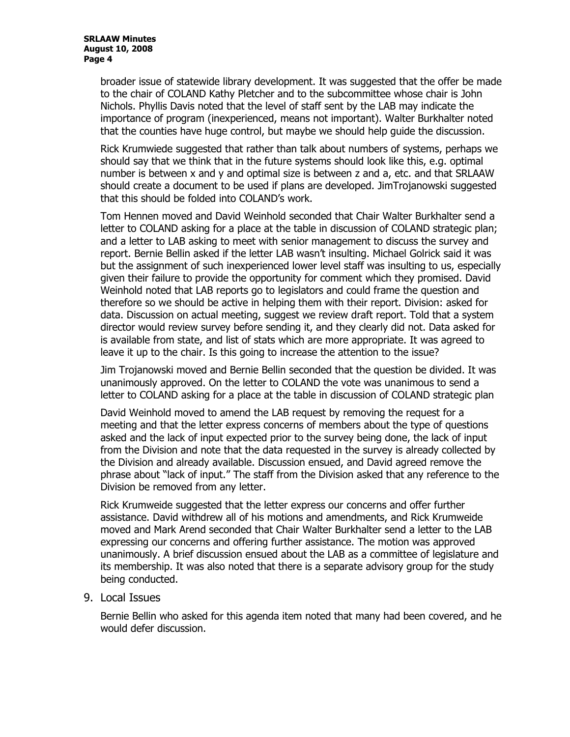broader issue of statewide library development. It was suggested that the offer be made to the chair of COLAND Kathy Pletcher and to the subcommittee whose chair is John Nichols. Phyllis Davis noted that the level of staff sent by the LAB may indicate the importance of program (inexperienced, means not important). Walter Burkhalter noted that the counties have huge control, but maybe we should help guide the discussion.

Rick Krumwiede suggested that rather than talk about numbers of systems, perhaps we should say that we think that in the future systems should look like this, e.g. optimal number is between x and y and optimal size is between z and a, etc. and that SRLAAW should create a document to be used if plans are developed. JimTrojanowski suggested that this should be folded into COLAND's work.

Tom Hennen moved and David Weinhold seconded that Chair Walter Burkhalter send a letter to COLAND asking for a place at the table in discussion of COLAND strategic plan; and a letter to LAB asking to meet with senior management to discuss the survey and report. Bernie Bellin asked if the letter LAB wasn't insulting. Michael Golrick said it was but the assignment of such inexperienced lower level staff was insulting to us, especially given their failure to provide the opportunity for comment which they promised. David Weinhold noted that LAB reports go to legislators and could frame the question and therefore so we should be active in helping them with their report. Division: asked for data. Discussion on actual meeting, suggest we review draft report. Told that a system director would review survey before sending it, and they clearly did not. Data asked for is available from state, and list of stats which are more appropriate. It was agreed to leave it up to the chair. Is this going to increase the attention to the issue?

Jim Trojanowski moved and Bernie Bellin seconded that the question be divided. It was unanimously approved. On the letter to COLAND the vote was unanimous to send a letter to COLAND asking for a place at the table in discussion of COLAND strategic plan

David Weinhold moved to amend the LAB request by removing the request for a meeting and that the letter express concerns of members about the type of questions asked and the lack of input expected prior to the survey being done, the lack of input from the Division and note that the data requested in the survey is already collected by the Division and already available. Discussion ensued, and David agreed remove the phrase about "lack of input." The staff from the Division asked that any reference to the Division be removed from any letter.

Rick Krumweide suggested that the letter express our concerns and offer further assistance. David withdrew all of his motions and amendments, and Rick Krumweide moved and Mark Arend seconded that Chair Walter Burkhalter send a letter to the LAB expressing our concerns and offering further assistance. The motion was approved unanimously. A brief discussion ensued about the LAB as a committee of legislature and its membership. It was also noted that there is a separate advisory group for the study being conducted.

# 9. Local Issues

Bernie Bellin who asked for this agenda item noted that many had been covered, and he would defer discussion.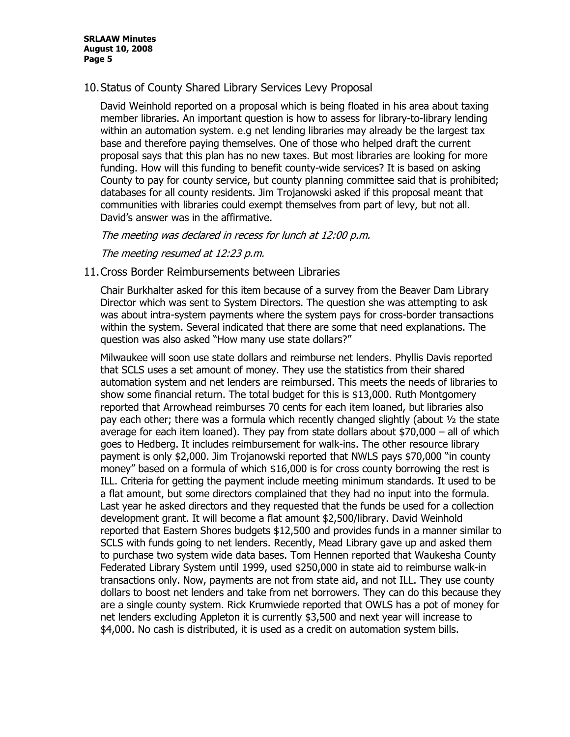10.Status of County Shared Library Services Levy Proposal

David Weinhold reported on a proposal which is being floated in his area about taxing member libraries. An important question is how to assess for library-to-library lending within an automation system. e.g net lending libraries may already be the largest tax base and therefore paying themselves. One of those who helped draft the current proposal says that this plan has no new taxes. But most libraries are looking for more funding. How will this funding to benefit county-wide services? It is based on asking County to pay for county service, but county planning committee said that is prohibited; databases for all county residents. Jim Trojanowski asked if this proposal meant that communities with libraries could exempt themselves from part of levy, but not all. David's answer was in the affirmative.

The meeting was declared in recess for lunch at 12:00 p.m.

The meeting resumed at 12:23 p.m.

11.Cross Border Reimbursements between Libraries

Chair Burkhalter asked for this item because of a survey from the Beaver Dam Library Director which was sent to System Directors. The question she was attempting to ask was about intra-system payments where the system pays for cross-border transactions within the system. Several indicated that there are some that need explanations. The question was also asked "How many use state dollars?"

Milwaukee will soon use state dollars and reimburse net lenders. Phyllis Davis reported that SCLS uses a set amount of money. They use the statistics from their shared automation system and net lenders are reimbursed. This meets the needs of libraries to show some financial return. The total budget for this is \$13,000. Ruth Montgomery reported that Arrowhead reimburses 70 cents for each item loaned, but libraries also pay each other; there was a formula which recently changed slightly (about ½ the state average for each item loaned). They pay from state dollars about  $$70,000 -$  all of which goes to Hedberg. It includes reimbursement for walk-ins. The other resource library payment is only \$2,000. Jim Trojanowski reported that NWLS pays \$70,000 "in county money" based on a formula of which \$16,000 is for cross county borrowing the rest is ILL. Criteria for getting the payment include meeting minimum standards. It used to be a flat amount, but some directors complained that they had no input into the formula. Last year he asked directors and they requested that the funds be used for a collection development grant. It will become a flat amount \$2,500/library. David Weinhold reported that Eastern Shores budgets \$12,500 and provides funds in a manner similar to SCLS with funds going to net lenders. Recently, Mead Library gave up and asked them to purchase two system wide data bases. Tom Hennen reported that Waukesha County Federated Library System until 1999, used \$250,000 in state aid to reimburse walk-in transactions only. Now, payments are not from state aid, and not ILL. They use county dollars to boost net lenders and take from net borrowers. They can do this because they are a single county system. Rick Krumwiede reported that OWLS has a pot of money for net lenders excluding Appleton it is currently \$3,500 and next year will increase to \$4,000. No cash is distributed, it is used as a credit on automation system bills.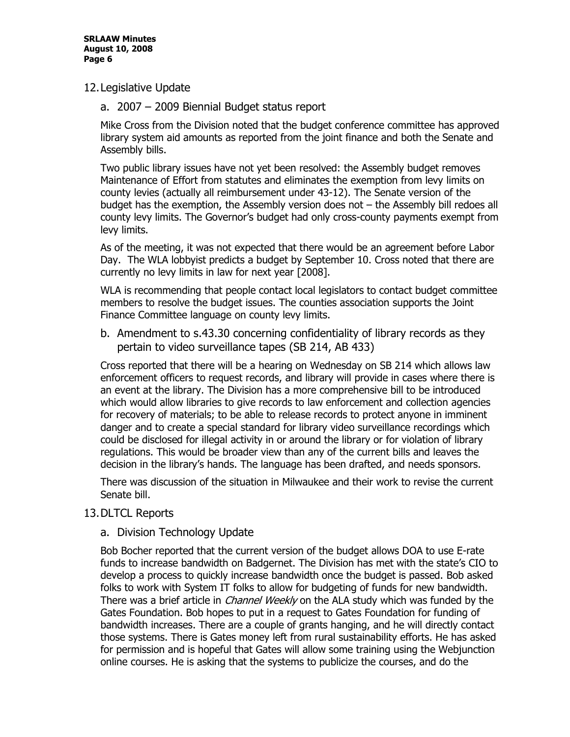#### 12.Legislative Update

a. 2007 – 2009 Biennial Budget status report

Mike Cross from the Division noted that the budget conference committee has approved library system aid amounts as reported from the joint finance and both the Senate and Assembly bills.

Two public library issues have not yet been resolved: the Assembly budget removes Maintenance of Effort from statutes and eliminates the exemption from levy limits on county levies (actually all reimbursement under 43-12). The Senate version of the budget has the exemption, the Assembly version does not – the Assembly bill redoes all county levy limits. The Governor's budget had only cross-county payments exempt from levy limits.

As of the meeting, it was not expected that there would be an agreement before Labor Day. The WLA lobbyist predicts a budget by September 10. Cross noted that there are currently no levy limits in law for next year [2008].

WLA is recommending that people contact local legislators to contact budget committee members to resolve the budget issues. The counties association supports the Joint Finance Committee language on county levy limits.

b. Amendment to s.43.30 concerning confidentiality of library records as they pertain to video surveillance tapes (SB 214, AB 433)

Cross reported that there will be a hearing on Wednesday on SB 214 which allows law enforcement officers to request records, and library will provide in cases where there is an event at the library. The Division has a more comprehensive bill to be introduced which would allow libraries to give records to law enforcement and collection agencies for recovery of materials; to be able to release records to protect anyone in imminent danger and to create a special standard for library video surveillance recordings which could be disclosed for illegal activity in or around the library or for violation of library regulations. This would be broader view than any of the current bills and leaves the decision in the library's hands. The language has been drafted, and needs sponsors.

There was discussion of the situation in Milwaukee and their work to revise the current Senate bill.

# 13.DLTCL Reports

# a. Division Technology Update

Bob Bocher reported that the current version of the budget allows DOA to use E-rate funds to increase bandwidth on Badgernet. The Division has met with the state's CIO to develop a process to quickly increase bandwidth once the budget is passed. Bob asked folks to work with System IT folks to allow for budgeting of funds for new bandwidth. There was a brief article in *Channel Weekly* on the ALA study which was funded by the Gates Foundation. Bob hopes to put in a request to Gates Foundation for funding of bandwidth increases. There are a couple of grants hanging, and he will directly contact those systems. There is Gates money left from rural sustainability efforts. He has asked for permission and is hopeful that Gates will allow some training using the Webjunction online courses. He is asking that the systems to publicize the courses, and do the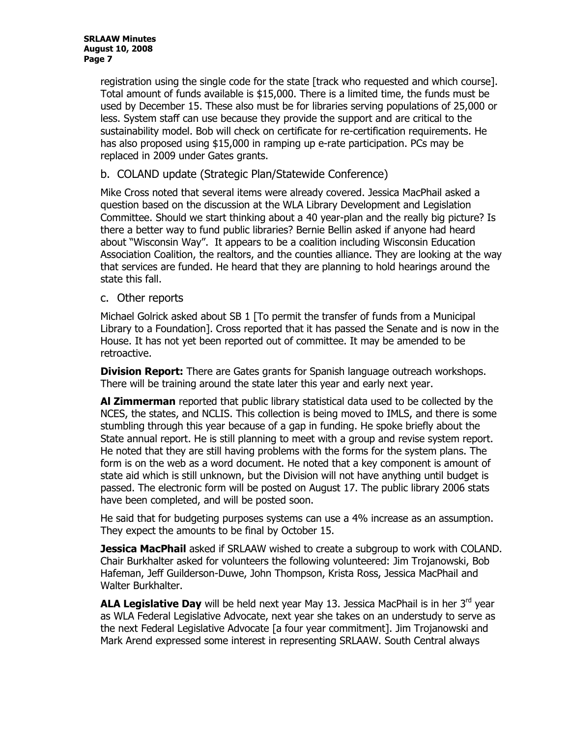registration using the single code for the state [track who requested and which course]. Total amount of funds available is \$15,000. There is a limited time, the funds must be used by December 15. These also must be for libraries serving populations of 25,000 or less. System staff can use because they provide the support and are critical to the sustainability model. Bob will check on certificate for re-certification requirements. He has also proposed using \$15,000 in ramping up e-rate participation. PCs may be replaced in 2009 under Gates grants.

# b. COLAND update (Strategic Plan/Statewide Conference)

Mike Cross noted that several items were already covered. Jessica MacPhail asked a question based on the discussion at the WLA Library Development and Legislation Committee. Should we start thinking about a 40 year-plan and the really big picture? Is there a better way to fund public libraries? Bernie Bellin asked if anyone had heard about "Wisconsin Way". It appears to be a coalition including Wisconsin Education Association Coalition, the realtors, and the counties alliance. They are looking at the way that services are funded. He heard that they are planning to hold hearings around the state this fall.

#### c. Other reports

Michael Golrick asked about SB 1 [To permit the transfer of funds from a Municipal Library to a Foundation]. Cross reported that it has passed the Senate and is now in the House. It has not yet been reported out of committee. It may be amended to be retroactive.

**Division Report:** There are Gates grants for Spanish language outreach workshops. There will be training around the state later this year and early next year.

**Al Zimmerman** reported that public library statistical data used to be collected by the NCES, the states, and NCLIS. This collection is being moved to IMLS, and there is some stumbling through this year because of a gap in funding. He spoke briefly about the State annual report. He is still planning to meet with a group and revise system report. He noted that they are still having problems with the forms for the system plans. The form is on the web as a word document. He noted that a key component is amount of state aid which is still unknown, but the Division will not have anything until budget is passed. The electronic form will be posted on August 17. The public library 2006 stats have been completed, and will be posted soon.

He said that for budgeting purposes systems can use a 4% increase as an assumption. They expect the amounts to be final by October 15.

**Jessica MacPhail** asked if SRLAAW wished to create a subgroup to work with COLAND. Chair Burkhalter asked for volunteers the following volunteered: Jim Trojanowski, Bob Hafeman, Jeff Guilderson-Duwe, John Thompson, Krista Ross, Jessica MacPhail and Walter Burkhalter.

**ALA Legislative Day** will be held next year May 13. Jessica MacPhail is in her 3<sup>rd</sup> year as WLA Federal Legislative Advocate, next year she takes on an understudy to serve as the next Federal Legislative Advocate [a four year commitment]. Jim Trojanowski and Mark Arend expressed some interest in representing SRLAAW. South Central always